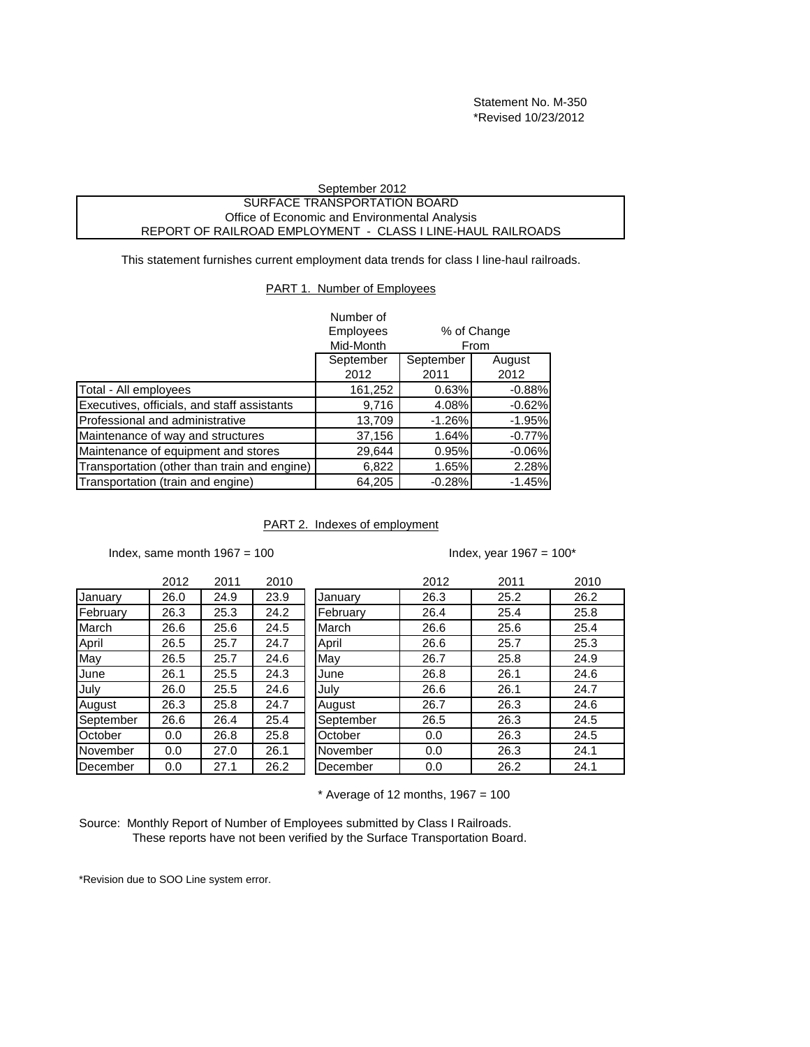Statement No. M-350 \*Revised 10/23/2012

## September 2012 SURFACE TRANSPORTATION BOARD Office of Economic and Environmental Analysis REPORT OF RAILROAD EMPLOYMENT - CLASS I LINE-HAUL RAILROADS

This statement furnishes current employment data trends for class I line-haul railroads.

## PART 1. Number of Employees

|                                              | Number of<br><b>Employees</b><br>Mid-Month |                   | % of Change<br>From |
|----------------------------------------------|--------------------------------------------|-------------------|---------------------|
|                                              | September<br>2012                          | September<br>2011 | August<br>2012      |
| Total - All employees                        | 161,252                                    | 0.63%             | $-0.88%$            |
| Executives, officials, and staff assistants  | 9,716                                      | 4.08%             | $-0.62%$            |
| Professional and administrative              | 13,709                                     | $-1.26%$          | $-1.95%$            |
| Maintenance of way and structures            | 37,156                                     | 1.64%             | $-0.77%$            |
| Maintenance of equipment and stores          | 29,644                                     | 0.95%             | $-0.06%$            |
| Transportation (other than train and engine) | 6,822                                      | 1.65%             | 2.28%               |
| Transportation (train and engine)            | 64,205                                     | $-0.28%$          | $-1.45%$            |

PART 2. Indexes of employment

Index, same month  $1967 = 100$ 

## Index, year  $1967 = 100*$

|           | 2012 | 2011 | 2010 |
|-----------|------|------|------|
| January   | 26.0 | 24.9 | 23.9 |
| February  | 26.3 | 25.3 | 24.2 |
| March     | 26.6 | 25.6 | 24.5 |
| April     | 26.5 | 25.7 | 24.7 |
| May       | 26.5 | 25.7 | 24.6 |
| June      | 26.1 | 25.5 | 24.3 |
| July      | 26.0 | 25.5 | 24.6 |
| August    | 26.3 | 25.8 | 24.7 |
| September | 26.6 | 26.4 | 25.4 |
| October   | 0.0  | 26.8 | 25.8 |
| November  | 0.0  | 27.0 | 26.1 |
| December  | 0.0  | 27.1 | 26.2 |

|           | 2012 | 2011 | 2010 |           | 2012 | 2011 | 2010 |
|-----------|------|------|------|-----------|------|------|------|
| Januarv   | 26.0 | 24.9 | 23.9 | January   | 26.3 | 25.2 | 26.2 |
| February  | 26.3 | 25.3 | 24.2 | February  | 26.4 | 25.4 | 25.8 |
| March     | 26.6 | 25.6 | 24.5 | March     | 26.6 | 25.6 | 25.4 |
| April     | 26.5 | 25.7 | 24.7 | April     | 26.6 | 25.7 | 25.3 |
| May       | 26.5 | 25.7 | 24.6 | May       | 26.7 | 25.8 | 24.9 |
| June      | 26.1 | 25.5 | 24.3 | June      | 26.8 | 26.1 | 24.6 |
| July      | 26.0 | 25.5 | 24.6 | July      | 26.6 | 26.1 | 24.7 |
| August    | 26.3 | 25.8 | 24.7 | August    | 26.7 | 26.3 | 24.6 |
| September | 26.6 | 26.4 | 25.4 | September | 26.5 | 26.3 | 24.5 |
| October   | 0.0  | 26.8 | 25.8 | October   | 0.0  | 26.3 | 24.5 |
| November  | 0.0  | 27.0 | 26.1 | November  | 0.0  | 26.3 | 24.1 |
| December  | 0.0  | 27.1 | 26.2 | December  | 0.0  | 26.2 | 24.1 |

 $*$  Average of 12 months, 1967 = 100

Source: Monthly Report of Number of Employees submitted by Class I Railroads. These reports have not been verified by the Surface Transportation Board.

\*Revision due to SOO Line system error.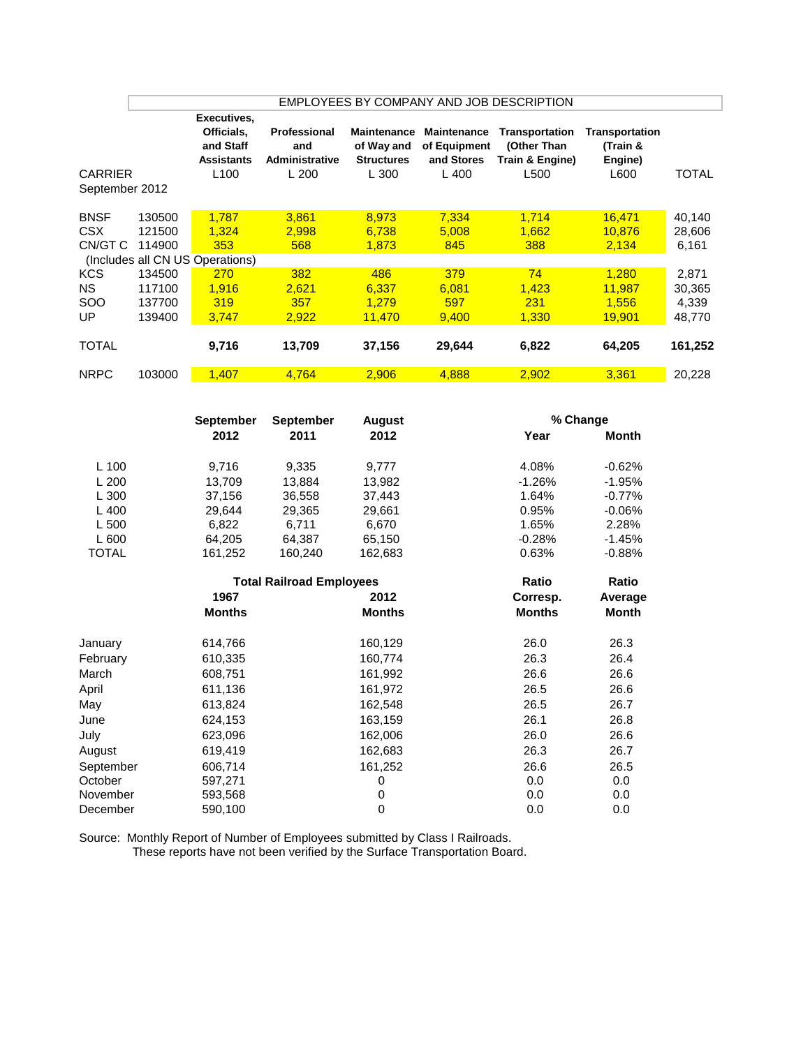|                                                                        |                                                          |                                                                                 |                                                       |                                                                |                                                          | EMPLOYEES BY COMPANY AND JOB DESCRIPTION                 |                                                       |                                                       |
|------------------------------------------------------------------------|----------------------------------------------------------|---------------------------------------------------------------------------------|-------------------------------------------------------|----------------------------------------------------------------|----------------------------------------------------------|----------------------------------------------------------|-------------------------------------------------------|-------------------------------------------------------|
| <b>CARRIER</b><br>September 2012                                       |                                                          | Executives,<br>Officials,<br>and Staff<br><b>Assistants</b><br>L <sub>100</sub> | Professional<br>and<br><b>Administrative</b><br>L 200 | <b>Maintenance</b><br>of Way and<br><b>Structures</b><br>L 300 | <b>Maintenance</b><br>of Equipment<br>and Stores<br>L400 | Transportation<br>(Other Than<br>Train & Engine)<br>L500 | Transportation<br>(Train &<br>Engine)<br>L600         | TOTAL                                                 |
| <b>BNSF</b><br><b>CSX</b><br>CN/GT C<br><b>KCS</b><br><b>NS</b><br>SOO | 130500<br>121500<br>114900<br>134500<br>117100<br>137700 | 1,787<br>1,324<br>353<br>(Includes all CN US Operations)<br>270<br>1,916<br>319 | 3,861<br>2,998<br>568<br>382<br>2,621<br>357          | 8,973<br>6,738<br>1,873<br>486<br>6,337<br>1,279               | 7,334<br>5,008<br>845<br>379<br>6,081<br>597             | 1.714<br>1,662<br>388<br>74<br>1,423<br>231              | 16,471<br>10,876<br>2,134<br>1,280<br>11,987<br>1,556 | 40,140<br>28,606<br>6,161<br>2,871<br>30,365<br>4,339 |
| UP<br>TOTAL                                                            | 139400                                                   | 3.747<br>9,716                                                                  | 2,922<br>13,709                                       | 11,470<br>37,156                                               | 9,400<br>29,644                                          | 1,330<br>6,822                                           | 19,901<br>64,205                                      | 48,770<br>161,252                                     |
| <b>NRPC</b>                                                            | 103000                                                   | 1,407                                                                           | 4,764                                                 | 2,906                                                          | 4,888                                                    | 2,902                                                    | 3,361                                                 | 20,228                                                |
| 2012                                                                   |                                                          | <b>September</b>                                                                | September<br>2011                                     | <b>August</b><br>2012                                          |                                                          | Year                                                     | % Change<br><b>Month</b>                              |                                                       |
| L 100<br>200                                                           |                                                          | 9,716<br>13.709                                                                 | 9,335<br>13.884                                       | 9,777<br>13.982                                                |                                                          | 4.08%<br>$-1.26%$                                        | $-0.62%$<br>$-1.95%$                                  |                                                       |

| L IUU        | ອ. / 10       | ອ.ວວວ                           | 9,777         | 4.VO70        | -V.OZ 70  |  |
|--------------|---------------|---------------------------------|---------------|---------------|-----------|--|
| L 200        | 13,709        | 13,884                          | 13,982        | $-1.26%$      | $-1.95%$  |  |
| L 300        | 37,156        | 36,558                          | 37,443        | 1.64%         | $-0.77%$  |  |
| L400         | 29,644        | 29,365                          | 29,661        | 0.95%         | $-0.06%$  |  |
| L 500        | 6,822         | 6,711                           | 6,670         | 1.65%         | 2.28%     |  |
| L 600        | 64,205        | 64,387                          | 65,150        | $-0.28%$      | $-1.45%$  |  |
| <b>TOTAL</b> | 161,252       | 160,240                         | 162,683       | 0.63%         | $-0.88\%$ |  |
|              |               | <b>Total Railroad Employees</b> |               | Ratio         | Ratio     |  |
|              | 1967          |                                 | 2012          | Corresp.      | Average   |  |
|              | <b>Months</b> |                                 | <b>Months</b> | <b>Months</b> | Month     |  |
| January      | 614,766       |                                 | 160,129       | 26.0          | 26.3      |  |
| February     | 610,335       |                                 | 160,774       | 26.3          | 26.4      |  |
| March        | 608,751       |                                 | 161,992       | 26.6          | 26.6      |  |
| April        | 611,136       |                                 | 161,972       | 26.5          | 26.6      |  |
| May          | 613,824       |                                 | 162,548       | 26.5          | 26.7      |  |
| June         | 624,153       |                                 | 163,159       | 26.1          | 26.8      |  |
| July         | 623,096       |                                 | 162,006       | 26.0          | 26.6      |  |
| August       | 619,419       |                                 | 162,683       | 26.3          | 26.7      |  |
| September    | 606,714       |                                 | 161,252       | 26.6          | 26.5      |  |
| October      | 597,271       |                                 | 0             | 0.0           | 0.0       |  |
| November     | 593,568       |                                 | 0             | 0.0           | 0.0       |  |
| December     | 590,100       |                                 | 0             | 0.0           | 0.0       |  |
|              |               |                                 |               |               |           |  |

Source: Monthly Report of Number of Employees submitted by Class I Railroads. These reports have not been verified by the Surface Transportation Board.